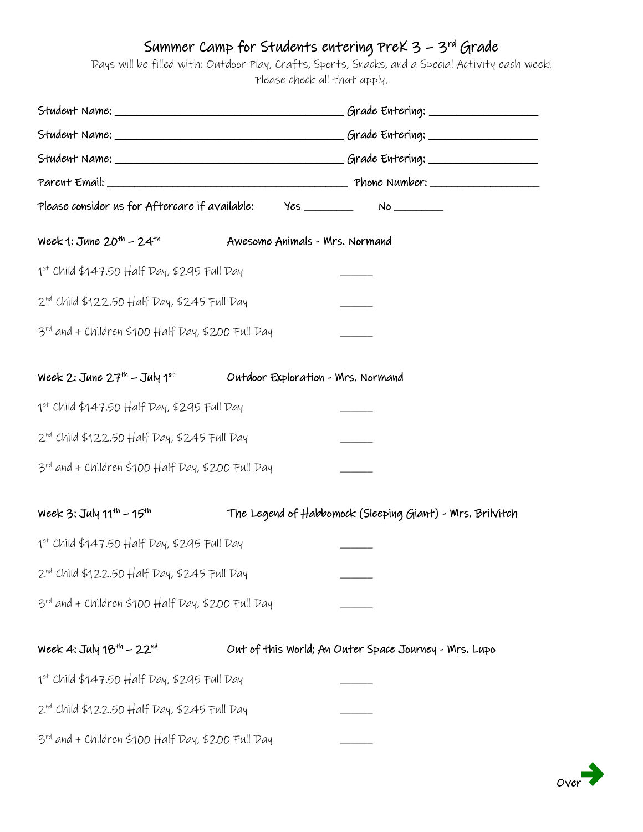## Summer Camp for Students entering PreK 3 – 3rd Grade

Days will be filled with: Outdoor Play, Crafts, Sports, Snacks, and a Special Activity each week! Please check all that apply.

| Please consider us for Aftercare if available: Yes ____________ No _____________ |                                    |                                                           |  |  |
|----------------------------------------------------------------------------------|------------------------------------|-----------------------------------------------------------|--|--|
| Week 1: June $20^{th}$ – $24^{th}$                                               | Awesome Animals - Mrs. Normand     |                                                           |  |  |
| $1st$ Child \$147.50 Half Day, \$295 Full Day                                    |                                    |                                                           |  |  |
| 2 <sup>nd</sup> Child \$122.50 Half Day, \$245 Full Day                          |                                    |                                                           |  |  |
| 3rd and + Children \$100 Half Day, \$200 Full Day                                |                                    |                                                           |  |  |
| Week 2: June 27 <sup>th</sup> – July 1st                                         | Outdoor Exploration - Mrs. Normand |                                                           |  |  |
| 1st Child \$147.50 Half Day, \$295 Full Day                                      |                                    |                                                           |  |  |
| 2 <sup>nd</sup> Child \$122.50 Half Day, \$245 Full Day                          |                                    |                                                           |  |  |
| 3rd and + Children \$100 Half Day, \$200 Full Day                                |                                    |                                                           |  |  |
| Week 3: $July 11th - 15th$                                                       |                                    | The Legend of Habbomock (Sleeping Giant) - Mrs. Brilvitch |  |  |
| $1st$ Child \$147.50 Half Day, \$295 Full Day                                    |                                    |                                                           |  |  |
| $2^{\text{nd}}$ Child \$122.50 Half Day, \$245 Full Day                          |                                    |                                                           |  |  |
| 3rd and + Children \$100 Half Day, \$200 Full Day                                |                                    |                                                           |  |  |
| Week 4: July 18 <sup>th</sup> - 22 <sup>nd</sup>                                 |                                    | Out of this World; An Outer Space Journey - Mrs. Lupo     |  |  |
| 1st Child \$147.50 Half Day, \$295 Full Day                                      |                                    |                                                           |  |  |
| $2^{\text{nd}}$ Child \$122.50 Half Day, \$245 Full Day                          |                                    |                                                           |  |  |
| 3rd and + Children \$100 Half Day, \$200 Full Day                                |                                    |                                                           |  |  |

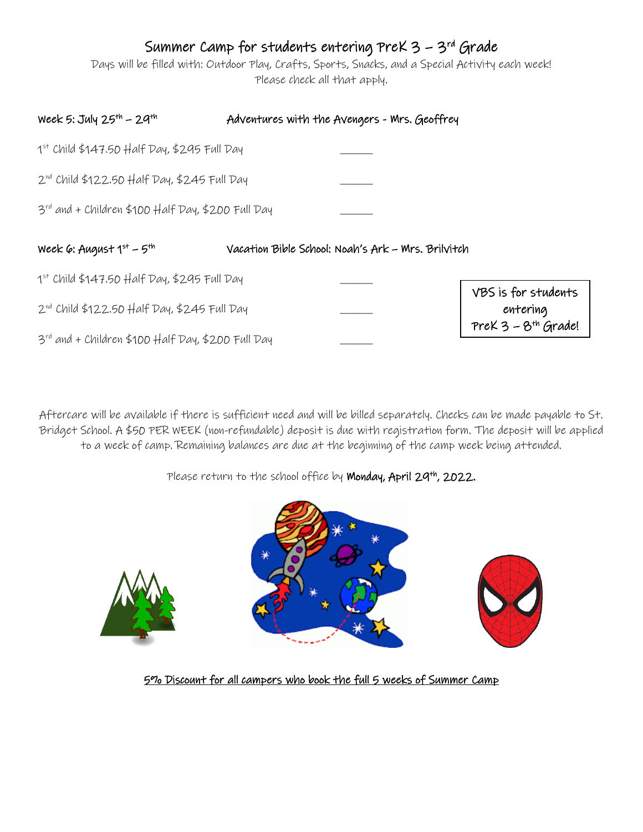## Summer Camp for students entering PreK 3 – 3rd Grade

Days will be filled with: Outdoor Play, Crafts, Sports, Snacks, and a Special Activity each week! Please check all that apply.

| Week 5: July $25^{th}$ - $29^{th}$                            | Adventures with the Avengers - Mrs. Geoffrey       |                                                          |
|---------------------------------------------------------------|----------------------------------------------------|----------------------------------------------------------|
| $1st$ Child \$147.50 Half Day, \$295 Full Day                 |                                                    |                                                          |
| $2^{\text{nd}}$ Child \$122.50 Half Day, \$245 Full Day       |                                                    |                                                          |
| $3^{\text{rd}}$ and + Children \$100 Half Day, \$200 Full Day |                                                    |                                                          |
|                                                               |                                                    |                                                          |
| Week 6: August $1^{st}$ – $5^{th}$                            | Vacation Bible School: Noah's Ark - Mrs. Brilvitch |                                                          |
| $1st$ Child \$147.50 Half Day, \$295 Full Day                 |                                                    |                                                          |
| $2^{\text{nd}}$ Child \$122.50 Half Day, \$245 Full Day       |                                                    | VBS is for students<br>entering<br>$PreK 3 - 8th$ Grade! |

Aftercare will be available if there is sufficient need and will be billed separately. Checks can be made payable to St. Bridget School. A \$50 PER WEEK (non-refundable) deposit is due with registration form. The deposit will be applied to a week of camp. Remaining balances are due at the beginning of the camp week being attended.

Please return to the school office by Monday, April 29<sup>th</sup>, 2022.







5% Discount for all campers who book the full 5 weeks of Summer Camp